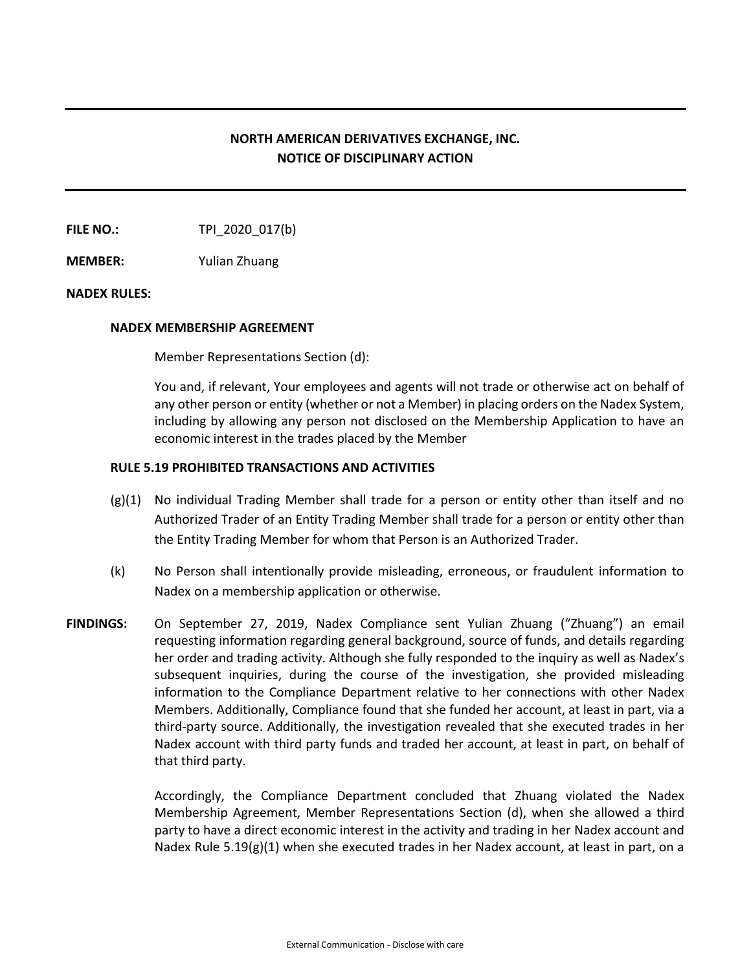## **NORTH AMERICAN DERIVATIVES EXCHANGE, INC. NOTICE OF DISCIPLINARY ACTION**

**FILE NO.:** TPI 2020 017(b)

**MEMBER:** Yulian Zhuang

## **NADEX RULES:**

## **NADEX MEMBERSHIP AGREEMENT**

Member Representations Section (d):

You and, if relevant, Your employees and agents will not trade or otherwise act on behalf of any other person or entity (whether or not a Member) in placing orders on the Nadex System, including by allowing any person not disclosed on the Membership Application to have an economic interest in the trades placed by the Member

## **RULE 5.19 PROHIBITED TRANSACTIONS AND ACTIVITIES**

- $(g)(1)$  No individual Trading Member shall trade for a person or entity other than itself and no Authorized Trader of an Entity Trading Member shall trade for a person or entity other than the Entity Trading Member for whom that Person is an Authorized Trader.
- (k) No Person shall intentionally provide misleading, erroneous, or fraudulent information to Nadex on a membership application or otherwise.
- **FINDINGS:** On September 27, 2019, Nadex Compliance sent Yulian Zhuang ("Zhuang") an email requesting information regarding general background, source of funds, and details regarding her order and trading activity. Although she fully responded to the inquiry as well as Nadex's subsequent inquiries, during the course of the investigation, she provided misleading information to the Compliance Department relative to her connections with other Nadex Members. Additionally, Compliance found that she funded her account, at least in part, via a third-party source. Additionally, the investigation revealed that she executed trades in her Nadex account with third party funds and traded her account, at least in part, on behalf of that third party.

Accordingly, the Compliance Department concluded that Zhuang violated the Nadex Membership Agreement, Member Representations Section (d), when she allowed a third party to have a direct economic interest in the activity and trading in her Nadex account and Nadex Rule 5.19(g)(1) when she executed trades in her Nadex account, at least in part, on a